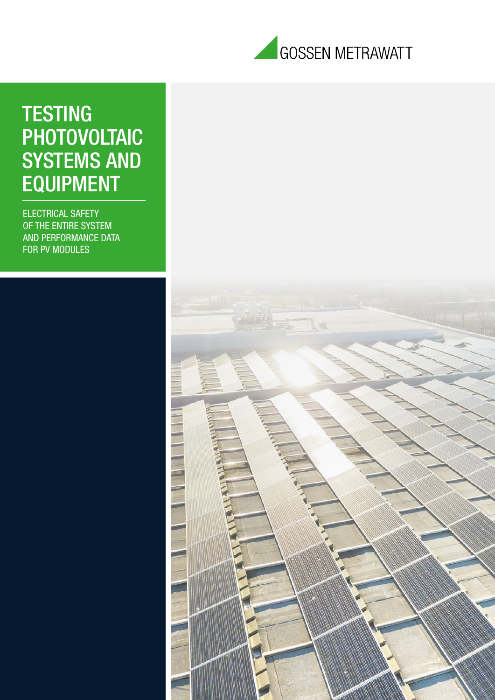

# **TESTING** PHOTOVOLTAIC SYSTEMS AND EQUIPMENT

ELECTRICAL SAFETY OF THE ENTIRE SYSTEM AND PERFORMANCE DATA FOR PV MODULES

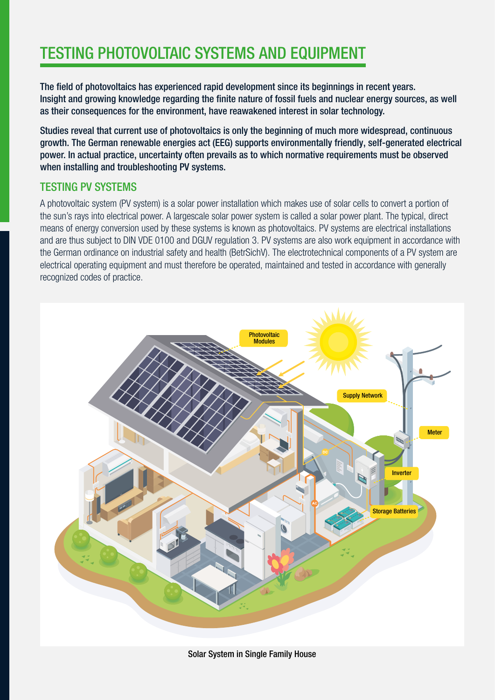# TESTING PHOTOVOLTAIC SYSTEMS AND EQUIPMENT

The field of photovoltaics has experienced rapid development since its beginnings in recent years. Insight and growing knowledge regarding the finite nature of fossil fuels and nuclear energy sources, as well as their consequences for the environment, have reawakened interest in solar technology.

Studies reveal that current use of photovoltaics is only the beginning of much more widespread, continuous growth. The German renewable energies act (EEG) supports environmentally friendly, self-generated electrical power. In actual practice, uncertainty often prevails as to which normative requirements must be observed when installing and troubleshooting PV systems.

### TESTING PV SYSTEMS

A photovoltaic system (PV system) is a solar power installation which makes use of solar cells to convert a portion of the sun's rays into electrical power. A largescale solar power system is called a solar power plant. The typical, direct means of energy conversion used by these systems is known as photovoltaics. PV systems are electrical installations and are thus subject to DIN VDE 0100 and DGUV regulation 3. PV systems are also work equipment in accordance with the German ordinance on industrial safety and health (BetrSichV). The electrotechnical components of a PV system are electrical operating equipment and must therefore be operated, maintained and tested in accordance with generally recognized codes of practice.



Solar System in Single Family House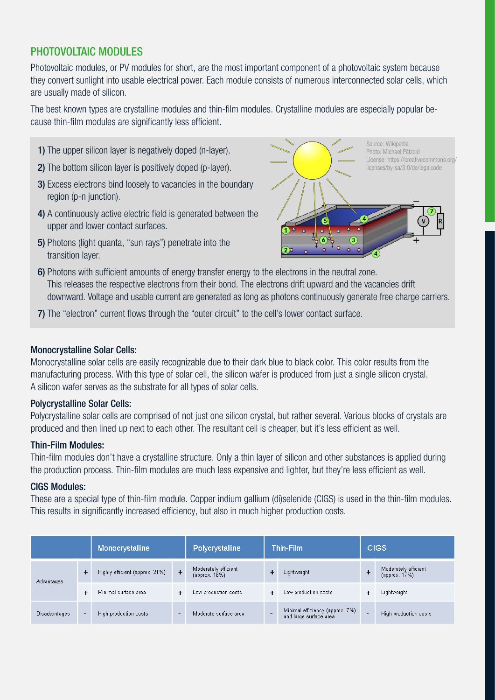### PHOTOVOLTAIC MODULES

Photovoltaic modules, or PV modules for short, are the most important component of a photovoltaic system because they convert sunlight into usable electrical power. Each module consists of numerous interconnected solar cells, which are usually made of silicon.

The best known types are crystalline modules and thin-film modules. Crystalline modules are especially popular because thin-film modules are significantly less efficient.

- 1) The upper silicon layer is negatively doped (n-layer).
- 2) The bottom silicon layer is positively doped (p-layer).
- 3) Excess electrons bind loosely to vacancies in the boundary region (p-n junction).
- 4) A continuously active electric field is generated between the upper and lower contact surfaces.
- 5) Photons (light quanta, "sun rays") penetrate into the transition layer.



- 6) Photons with sufficient amounts of energy transfer energy to the electrons in the neutral zone. This releases the respective electrons from their bond. The electrons drift upward and the vacancies drift downward. Voltage and usable current are generated as long as photons continuously generate free charge carriers.
- 7) The "electron" current flows through the "outer circuit" to the cell's lower contact surface.

#### Monocrystalline Solar Cells:

Monocrystalline solar cells are easily recognizable due to their dark blue to black color. This color results from the manufacturing process. With this type of solar cell, the silicon wafer is produced from just a single silicon crystal. A silicon wafer serves as the substrate for all types of solar cells.

#### Polycrystalline Solar Cells:

Polycrystalline solar cells are comprised of not just one silicon crystal, but rather several. Various blocks of crystals are produced and then lined up next to each other. The resultant cell is cheaper, but it's less efficient as well.

#### Thin-Film Modules:

Thin-film modules don't have a crystalline structure. Only a thin layer of silicon and other substances is applied during the production process. Thin-film modules are much less expensive and lighter, but they're less efficient as well.

#### CIGS Modules:

These are a special type of thin-film module. Copper indium gallium (di)selenide (CIGS) is used in the thin-film modules. This results in significantly increased efficiency, but also in much higher production costs.

|                      |                | Monocrystalline                |                          | Polycrystalline                       | Thin-Film |                                                           | <b>CIGS</b>    |                                       |
|----------------------|----------------|--------------------------------|--------------------------|---------------------------------------|-----------|-----------------------------------------------------------|----------------|---------------------------------------|
| Advantages           | $\ddot{}$      | Highly efficient (approx. 21%) | $+$                      | Moderately efficient<br>(approx. 16%) |           | Lightweight                                               | ٠              | Moderately efficient<br>(approx. 17%) |
|                      | ٠              | Minimal surface area           |                          | Low production costs                  | +         | Low production costs                                      |                | Lightweight                           |
| <b>Disadvantages</b> | $\blacksquare$ | High production costs          | $\overline{\phantom{0}}$ | Moderate surface area                 | -         | Minimal efficiency (approx. 7%)<br>and large surface area | $\overline{a}$ | High production costs                 |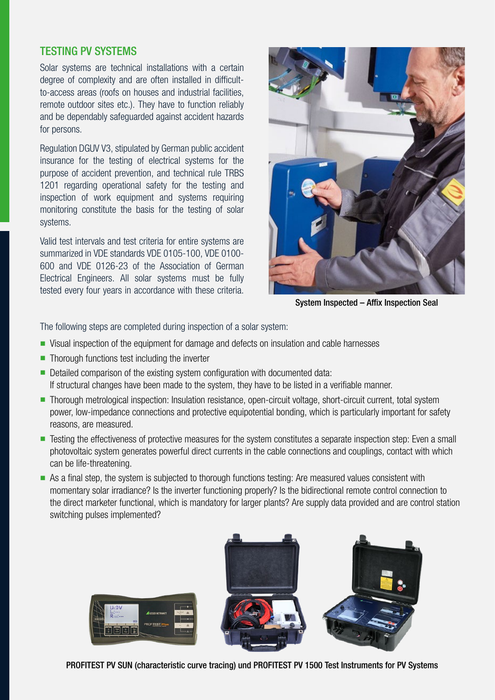#### TESTING PV SYSTEMS

Solar systems are technical installations with a certain degree of complexity and are often installed in difficultto-access areas (roofs on houses and industrial facilities, remote outdoor sites etc.). They have to function reliably and be dependably safeguarded against accident hazards for persons.

Regulation DGUV V3, stipulated by German public accident insurance for the testing of electrical systems for the purpose of accident prevention, and technical rule TRBS 1201 regarding operational safety for the testing and inspection of work equipment and systems requiring monitoring constitute the basis for the testing of solar systems.

Valid test intervals and test criteria for entire systems are summarized in VDE standards VDE 0105-100, VDE 0100- 600 and VDE 0126-23 of the Association of German Electrical Engineers. All solar systems must be fully tested every four years in accordance with these criteria.



System Inspected – Affix Inspection Seal

The following steps are completed during inspection of a solar system:

- Visual inspection of the equipment for damage and defects on insulation and cable harnesses
- $\blacksquare$  Thorough functions test including the inverter
- Detailed comparison of the existing system configuration with documented data: If structural changes have been made to the system, they have to be listed in a verifiable manner.
- Thorough metrological inspection: Insulation resistance, open-circuit voltage, short-circuit current, total system power, low-impedance connections and protective equipotential bonding, which is particularly important for safety reasons, are measured.
- Testing the effectiveness of protective measures for the system constitutes a separate inspection step: Even a small photovoltaic system generates powerful direct currents in the cable connections and couplings, contact with which can be life-threatening.
- n As a final step, the system is subjected to thorough functions testing: Are measured values consistent with momentary solar irradiance? Is the inverter functioning properly? Is the bidirectional remote control connection to the direct marketer functional, which is mandatory for larger plants? Are supply data provided and are control station switching pulses implemented?



PROFITEST PV SUN (characteristic curve tracing) und PROFITEST PV 1500 Test Instruments for PV Systems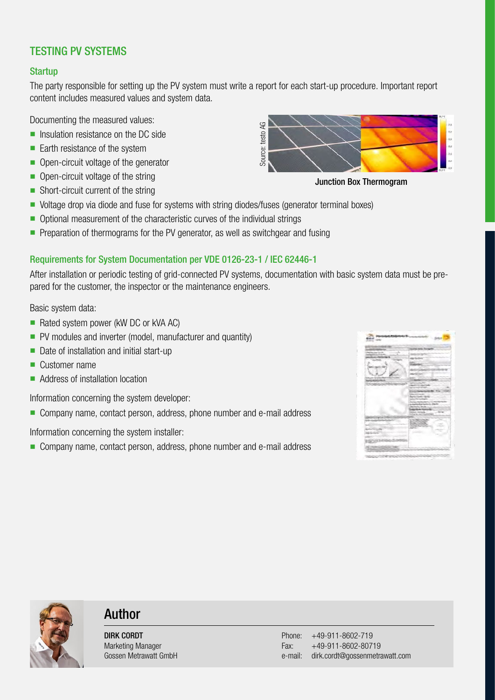# TESTING PV SYSTEMS

#### **Startup**

The party responsible for setting up the PV system must write a report for each start-up procedure. Important report content includes measured values and system data.

Documenting the measured values:

- $\blacksquare$  Insulation resistance on the DC side
- $\blacksquare$  Earth resistance of the system
- Open-circuit voltage of the generator
- $\blacksquare$  Open-circuit voltage of the string
- $\blacksquare$  Short-circuit current of the string
- Voltage drop via diode and fuse for systems with string diodes/fuses (generator terminal boxes)
- Optional measurement of the characteristic curves of the individual strings
- **•** Preparation of thermograms for the PV generator, as well as switchgear and fusing

#### Requirements for System Documentation per VDE 0126-23-1 / IEC 62446-1

After installation or periodic testing of grid-connected PV systems, documentation with basic system data must be prepared for the customer, the inspector or the maintenance engineers.

Basic system data:

- Rated system power (kW DC or kVA AC)
- PV modules and inverter (model, manufacturer and quantity)
- $\blacksquare$  Date of installation and initial start-up
- $\blacksquare$  Customer name
- $\blacksquare$  Address of installation location

Information concerning the system developer:

■ Company name, contact person, address, phone number and e-mail address

Information concerning the system installer:

■ Company name, contact person, address, phone number and e-mail address



Junction Box Thermogram





# Author

DIRK CORDT Marketing Manager Gossen Metrawatt GmbH